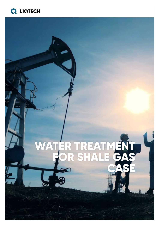# **Q LIQTECH**

# **WATER TREATMENT FOR SHALE GAS CASE**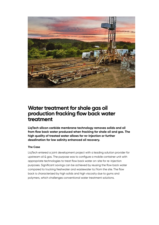

### **Water treatment for shale gas oil production fracking flow back water treatment**

**LiqTech silicon carbide membrane technology removes solids and oil from flow back water produced when fracking for shale oil and gas. The high quality of treated water allows for re-injection or further desalination for low salinity enhanced oil recovery.**

#### **The Case**

LiqTech entered a joint development project with a leading solution provider for upstream oil & gas. The purpose was to configure a mobile container unit with appropriate technologies to treat flow back water on-site for re-injection purposes. Significant savings can be achieved by reusing the flow back water compared to trucking freshwater and wastewater to/from the site. The flow back is characterized by high solids and high viscosity due to gums and polymers, which challenges conventional water treatment solutions.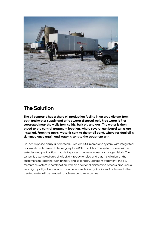

## **The Solution**

**The oil company has a shale oil production facility in an area distant from both freshwater supply and a frac water disposal well. Frac water is first separated near the wells from solids, bulk oil, and gas. The water is then piped to the central treatment location, where several gun barrel tanks are installed. From the tanks, water is sent to the small pond, where residual oil is skimmed once again and water is sent to the treatment unit.**

LiqTech supplied a fully automated SiC ceramic UF membrane system, with integrated backwash and chemical cleaning in place (CIP) modules. The system comes with a self-cleaning prefiltration module to protect the membranes from larger debris. The system is assembled on a single skid – ready for plug and play installation at the customer site. Together with primary and secondary upstream treatment, the SiC membrane system in combination with an additional disinfection process produces a very high quality of water which can be re-used directly. Addition of polymers to the treated water will be needed to achieve certain outcomes.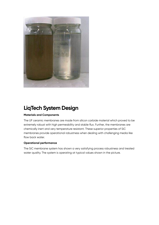

## **LiqTech System Design**

#### **Materials and Components**

The UF ceramic membranes are made from silicon carbide material which proved to be extremely robust with high permeability and stable flux. Further, the membranes are chemically inert and very temperature resistant. These superior properties of SiC membranes provide operational robustness when dealing with challenging media like flow back water.

#### **Operational performance**

The SiC membrane system has shown a very satisfying process robustness and treated water quality. The system is operating at typical values shown in the picture.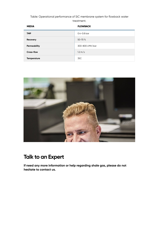Table: Operational performance of SiC membrane system for flowback water treatment.

| <b>MEDIA</b>       | <b>FLOWBACK</b>   |
|--------------------|-------------------|
| <b>TMP</b>         | $0.4 - 0.8$ bar   |
| Recovery           | $50 - 70$ %       |
| Permeability       | 300-800 LMH/bar   |
| Cross-flow         | $1.2 \text{ m/s}$ |
| <b>Temperature</b> | 35C               |



## **Talk to an Expert**

**If need any more information or help regarding shale gas, please do not hesitate to contact us.**